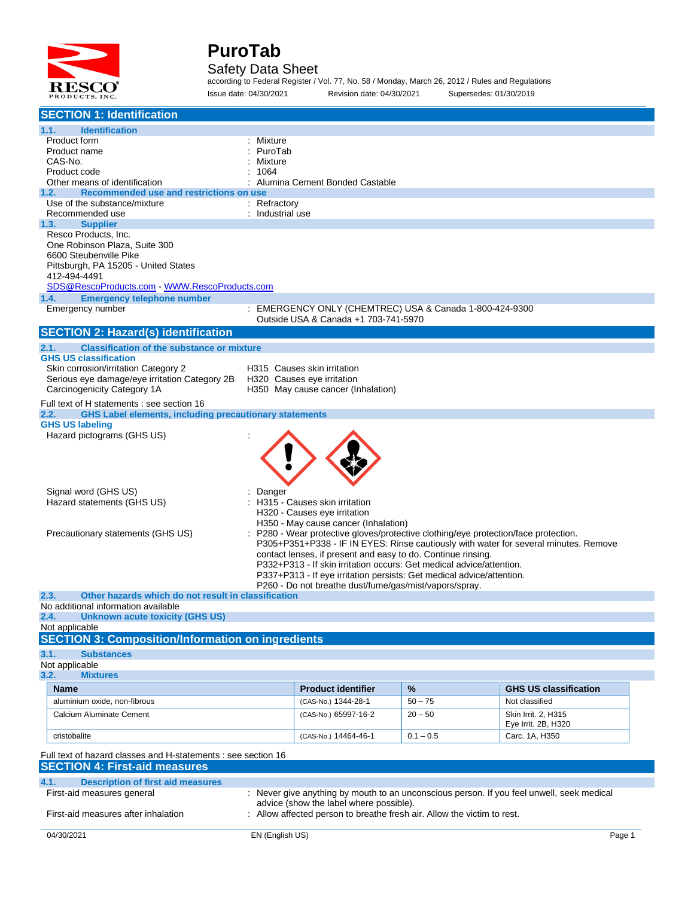

#### Safety Data Sheet

according to Federal Register / Vol. 77, No. 58 / Monday, March 26, 2012 / Rules and Regulations Issue date: 04/30/2021 Revision date: 04/30/2021 Supersedes: 01/30/2019

| <b>SECTION 1: Identification</b>                                                                                                                                   |                           |                                                                                                                                               |             |                                                                                      |  |
|--------------------------------------------------------------------------------------------------------------------------------------------------------------------|---------------------------|-----------------------------------------------------------------------------------------------------------------------------------------------|-------------|--------------------------------------------------------------------------------------|--|
| <b>Identification</b><br>1.1.                                                                                                                                      |                           |                                                                                                                                               |             |                                                                                      |  |
| Product form                                                                                                                                                       | Mixture                   |                                                                                                                                               |             |                                                                                      |  |
| Product name                                                                                                                                                       | PuroTab                   |                                                                                                                                               |             |                                                                                      |  |
| CAS-No.<br>Product code                                                                                                                                            | Mixture<br>1064           |                                                                                                                                               |             |                                                                                      |  |
| Other means of identification                                                                                                                                      |                           | Alumina Cement Bonded Castable                                                                                                                |             |                                                                                      |  |
| Recommended use and restrictions on use<br>1.2.                                                                                                                    |                           |                                                                                                                                               |             |                                                                                      |  |
| Use of the substance/mixture                                                                                                                                       | : Refractory              |                                                                                                                                               |             |                                                                                      |  |
| Recommended use                                                                                                                                                    | : Industrial use          |                                                                                                                                               |             |                                                                                      |  |
| 1.3.<br><b>Supplier</b>                                                                                                                                            |                           |                                                                                                                                               |             |                                                                                      |  |
| Resco Products, Inc.<br>One Robinson Plaza, Suite 300                                                                                                              |                           |                                                                                                                                               |             |                                                                                      |  |
| 6600 Steubenville Pike                                                                                                                                             |                           |                                                                                                                                               |             |                                                                                      |  |
| Pittsburgh, PA 15205 - United States                                                                                                                               |                           |                                                                                                                                               |             |                                                                                      |  |
| 412-494-4491                                                                                                                                                       |                           |                                                                                                                                               |             |                                                                                      |  |
| SDS@RescoProducts.com WWW.RescoProducts.com                                                                                                                        |                           |                                                                                                                                               |             |                                                                                      |  |
| <b>Emergency telephone number</b><br>1.4.<br>Emergency number                                                                                                      |                           | : EMERGENCY ONLY (CHEMTREC) USA & Canada 1-800-424-9300                                                                                       |             |                                                                                      |  |
|                                                                                                                                                                    |                           | Outside USA & Canada +1 703-741-5970                                                                                                          |             |                                                                                      |  |
| <b>SECTION 2: Hazard(s) identification</b>                                                                                                                         |                           |                                                                                                                                               |             |                                                                                      |  |
| <b>Classification of the substance or mixture</b><br>2.1.                                                                                                          |                           |                                                                                                                                               |             |                                                                                      |  |
| <b>GHS US classification</b>                                                                                                                                       |                           |                                                                                                                                               |             |                                                                                      |  |
| Skin corrosion/irritation Category 2                                                                                                                               |                           | H315 Causes skin irritation                                                                                                                   |             |                                                                                      |  |
| Serious eye damage/eye irritation Category 2B                                                                                                                      |                           | H320 Causes eye irritation                                                                                                                    |             |                                                                                      |  |
| Carcinogenicity Category 1A                                                                                                                                        |                           | H350 May cause cancer (Inhalation)                                                                                                            |             |                                                                                      |  |
| Full text of H statements : see section 16<br><b>GHS Label elements, including precautionary statements</b>                                                        |                           |                                                                                                                                               |             |                                                                                      |  |
| 2.2.<br><b>GHS US labeling</b>                                                                                                                                     |                           |                                                                                                                                               |             |                                                                                      |  |
| Hazard pictograms (GHS US)                                                                                                                                         |                           |                                                                                                                                               |             |                                                                                      |  |
|                                                                                                                                                                    |                           |                                                                                                                                               |             |                                                                                      |  |
|                                                                                                                                                                    |                           |                                                                                                                                               |             |                                                                                      |  |
|                                                                                                                                                                    |                           |                                                                                                                                               |             |                                                                                      |  |
|                                                                                                                                                                    |                           |                                                                                                                                               |             |                                                                                      |  |
| Signal word (GHS US)                                                                                                                                               | Danger                    |                                                                                                                                               |             |                                                                                      |  |
| Hazard statements (GHS US)                                                                                                                                         |                           | H315 - Causes skin irritation<br>H320 - Causes eye irritation                                                                                 |             |                                                                                      |  |
|                                                                                                                                                                    |                           | H350 - May cause cancer (Inhalation)                                                                                                          |             |                                                                                      |  |
| Precautionary statements (GHS US)                                                                                                                                  |                           | P280 - Wear protective gloves/protective clothing/eye protection/face protection.                                                             |             |                                                                                      |  |
|                                                                                                                                                                    |                           |                                                                                                                                               |             | P305+P351+P338 - IF IN EYES: Rinse cautiously with water for several minutes. Remove |  |
|                                                                                                                                                                    |                           | contact lenses, if present and easy to do. Continue rinsing.                                                                                  |             |                                                                                      |  |
|                                                                                                                                                                    |                           | P332+P313 - If skin irritation occurs: Get medical advice/attention.<br>P337+P313 - If eve irritation persists: Get medical advice/attention. |             |                                                                                      |  |
|                                                                                                                                                                    |                           | P260 - Do not breathe dust/fume/gas/mist/vapors/spray.                                                                                        |             |                                                                                      |  |
| 2.3.<br>Other hazards which do not result in classification                                                                                                        |                           |                                                                                                                                               |             |                                                                                      |  |
| No additional information available                                                                                                                                |                           |                                                                                                                                               |             |                                                                                      |  |
| Unknown acute toxicity (GHS US)<br>2.4.                                                                                                                            |                           |                                                                                                                                               |             |                                                                                      |  |
| Not applicable<br><b>SECTION 3: Composition/Information on ingredients</b>                                                                                         |                           |                                                                                                                                               |             |                                                                                      |  |
|                                                                                                                                                                    |                           |                                                                                                                                               |             |                                                                                      |  |
| 3.1.<br><b>Substances</b><br>Not applicable                                                                                                                        |                           |                                                                                                                                               |             |                                                                                      |  |
| 3.2.<br><b>Mixtures</b>                                                                                                                                            |                           |                                                                                                                                               |             |                                                                                      |  |
| Name                                                                                                                                                               |                           | <b>Product identifier</b>                                                                                                                     | %           | <b>GHS US classification</b>                                                         |  |
| aluminium oxide, non-fibrous                                                                                                                                       |                           | (CAS-No.) 1344-28-1                                                                                                                           | $50 - 75$   | Not classified                                                                       |  |
| Calcium Aluminate Cement                                                                                                                                           |                           |                                                                                                                                               |             | Skin Irrit. 2, H315                                                                  |  |
|                                                                                                                                                                    |                           | (CAS-No.) 65997-16-2                                                                                                                          | $20 - 50$   | Eye Irrit. 2B, H320                                                                  |  |
| cristobalite                                                                                                                                                       |                           | (CAS-No.) 14464-46-1                                                                                                                          | $0.1 - 0.5$ | Carc. 1A, H350                                                                       |  |
|                                                                                                                                                                    |                           |                                                                                                                                               |             |                                                                                      |  |
| Full text of hazard classes and H-statements : see section 16<br><b>SECTION 4: First-aid measures</b>                                                              |                           |                                                                                                                                               |             |                                                                                      |  |
|                                                                                                                                                                    |                           |                                                                                                                                               |             |                                                                                      |  |
| 4.1.<br><b>Description of first aid measures</b>                                                                                                                   |                           |                                                                                                                                               |             |                                                                                      |  |
| : Never give anything by mouth to an unconscious person. If you feel unwell, seek medical<br>First-aid measures general<br>advice (show the label where possible). |                           |                                                                                                                                               |             |                                                                                      |  |
| First-aid measures after inhalation                                                                                                                                |                           | Allow affected person to breathe fresh air. Allow the victim to rest.                                                                         |             |                                                                                      |  |
|                                                                                                                                                                    |                           |                                                                                                                                               |             |                                                                                      |  |
| 04/30/2021                                                                                                                                                         | EN (English US)<br>Page 1 |                                                                                                                                               |             |                                                                                      |  |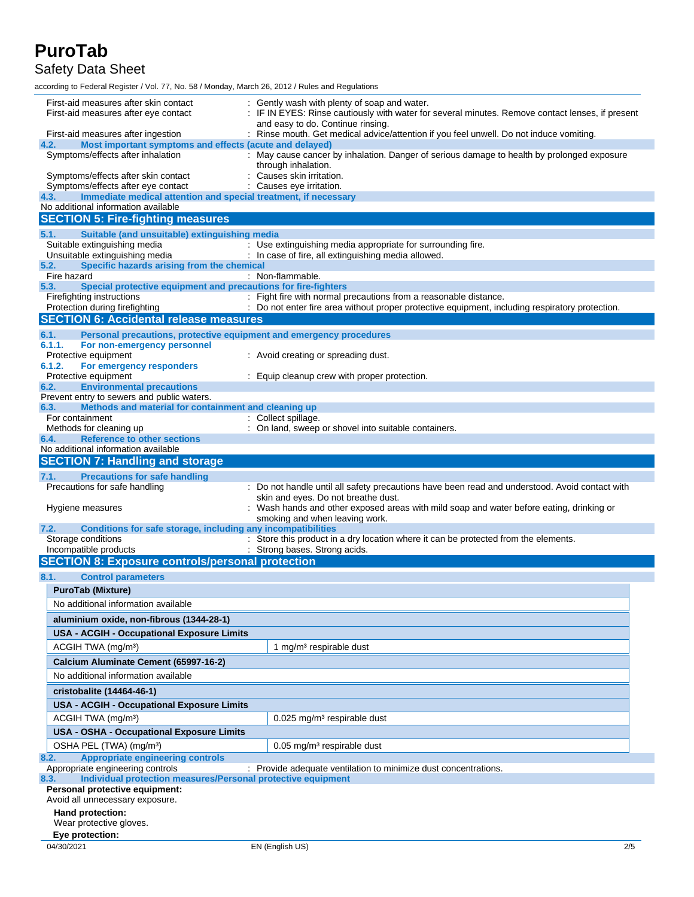Safety Data Sheet

according to Federal Register / Vol. 77, No. 58 / Monday, March 26, 2012 / Rules and Regulations

| First-aid measures after skin contact<br>First-aid measures after eye contact          | Gently wash with plenty of soap and water.<br>: IF IN EYES: Rinse cautiously with water for several minutes. Remove contact lenses, if present |
|----------------------------------------------------------------------------------------|------------------------------------------------------------------------------------------------------------------------------------------------|
|                                                                                        | and easy to do. Continue rinsing.                                                                                                              |
| First-aid measures after ingestion                                                     | : Rinse mouth. Get medical advice/attention if you feel unwell. Do not induce vomiting.                                                        |
| 4.2.<br>Most important symptoms and effects (acute and delayed)                        |                                                                                                                                                |
| Symptoms/effects after inhalation                                                      | : May cause cancer by inhalation. Danger of serious damage to health by prolonged exposure<br>through inhalation.                              |
| Symptoms/effects after skin contact                                                    | : Causes skin irritation.                                                                                                                      |
| Symptoms/effects after eye contact                                                     | : Causes eye irritation.                                                                                                                       |
| Immediate medical attention and special treatment, if necessary<br>4.3.                |                                                                                                                                                |
| No additional information available                                                    |                                                                                                                                                |
| <b>SECTION 5: Fire-fighting measures</b>                                               |                                                                                                                                                |
| 5.1.<br>Suitable (and unsuitable) extinguishing media                                  |                                                                                                                                                |
| Suitable extinguishing media                                                           | : Use extinguishing media appropriate for surrounding fire.                                                                                    |
| Unsuitable extinguishing media                                                         | : In case of fire, all extinguishing media allowed.                                                                                            |
| Specific hazards arising from the chemical<br>5.2.                                     |                                                                                                                                                |
| Fire hazard<br>Special protective equipment and precautions for fire-fighters<br>5.3.  | : Non-flammable.                                                                                                                               |
| Firefighting instructions                                                              | : Fight fire with normal precautions from a reasonable distance.                                                                               |
| Protection during firefighting                                                         | : Do not enter fire area without proper protective equipment, including respiratory protection.                                                |
| <b>SECTION 6: Accidental release measures</b>                                          |                                                                                                                                                |
| 6.1.<br>Personal precautions, protective equipment and emergency procedures            |                                                                                                                                                |
| 6.1.1.<br>For non-emergency personnel                                                  |                                                                                                                                                |
| Protective equipment                                                                   | : Avoid creating or spreading dust.                                                                                                            |
| 6.1.2.<br>For emergency responders                                                     |                                                                                                                                                |
| Protective equipment                                                                   | : Equip cleanup crew with proper protection.                                                                                                   |
| <b>Environmental precautions</b><br>6.2.<br>Prevent entry to sewers and public waters. |                                                                                                                                                |
| Methods and material for containment and cleaning up<br>6.3.                           |                                                                                                                                                |
| For containment                                                                        | : Collect spillage.                                                                                                                            |
| Methods for cleaning up                                                                | : On land, sweep or shovel into suitable containers.                                                                                           |
| <b>Reference to other sections</b><br>6.4.                                             |                                                                                                                                                |
| No additional information available                                                    |                                                                                                                                                |
| <b>SECTION 7: Handling and storage</b>                                                 |                                                                                                                                                |
| 7.1.<br><b>Precautions for safe handling</b>                                           |                                                                                                                                                |
| Precautions for safe handling                                                          | : Do not handle until all safety precautions have been read and understood. Avoid contact with                                                 |
|                                                                                        | skin and eyes. Do not breathe dust.                                                                                                            |
| Hygiene measures                                                                       | : Wash hands and other exposed areas with mild soap and water before eating, drinking or<br>smoking and when leaving work.                     |
| Conditions for safe storage, including any incompatibilities<br>7.2.                   |                                                                                                                                                |
| Storage conditions                                                                     | : Store this product in a dry location where it can be protected from the elements.                                                            |
| Incompatible products                                                                  | : Strong bases. Strong acids.                                                                                                                  |
|                                                                                        |                                                                                                                                                |
| <b>SECTION 8: Exposure controls/personal protection</b>                                |                                                                                                                                                |
| 8.1.                                                                                   |                                                                                                                                                |
| <b>Control parameters</b>                                                              |                                                                                                                                                |
| <b>PuroTab (Mixture)</b>                                                               |                                                                                                                                                |
| No additional information available                                                    |                                                                                                                                                |
| aluminium oxide, non-fibrous (1344-28-1)                                               |                                                                                                                                                |
| <b>USA - ACGIH - Occupational Exposure Limits</b>                                      |                                                                                                                                                |
| ACGIH TWA (mg/m <sup>3</sup> )                                                         | 1 mg/m <sup>3</sup> respirable dust                                                                                                            |
| Calcium Aluminate Cement (65997-16-2)                                                  |                                                                                                                                                |
| No additional information available                                                    |                                                                                                                                                |
|                                                                                        |                                                                                                                                                |
| cristobalite (14464-46-1)                                                              |                                                                                                                                                |
| <b>USA - ACGIH - Occupational Exposure Limits</b>                                      |                                                                                                                                                |
| ACGIH TWA (mg/m <sup>3</sup> )                                                         | 0.025 mg/m <sup>3</sup> respirable dust                                                                                                        |
| <b>USA - OSHA - Occupational Exposure Limits</b>                                       |                                                                                                                                                |
| OSHA PEL (TWA) (mg/m <sup>3</sup> )                                                    | 0.05 mg/m <sup>3</sup> respirable dust                                                                                                         |
| <b>Appropriate engineering controls</b><br>8.2.                                        |                                                                                                                                                |
| Appropriate engineering controls                                                       | : Provide adequate ventilation to minimize dust concentrations.                                                                                |
| Individual protection measures/Personal protective equipment<br>8.3.                   |                                                                                                                                                |
| Personal protective equipment:                                                         |                                                                                                                                                |
| Avoid all unnecessary exposure.                                                        |                                                                                                                                                |
| Hand protection:<br>Wear protective gloves.                                            |                                                                                                                                                |
| Eye protection:                                                                        |                                                                                                                                                |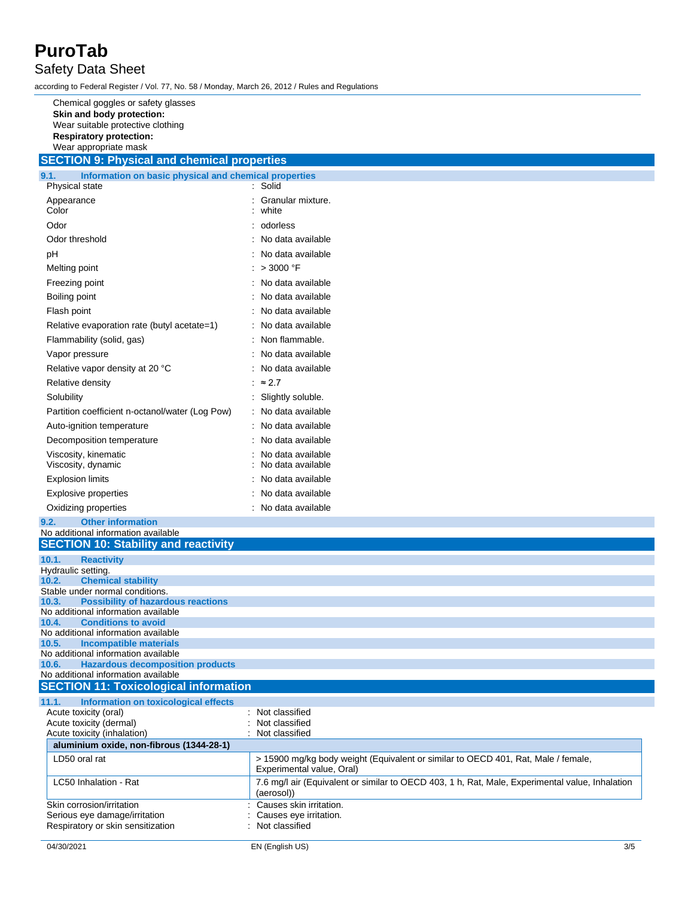Safety Data Sheet

according to Federal Register / Vol. 77, No. 58 / Monday, March 26, 2012 / Rules and Regulations

Chemical goggles or safety glasses **Skin and body protection:** Wear suitable protective clothing **Respiratory protection:** Wear appropriate mask **SECTION 9: Physical and chemical properties**

| Information on basic physical and chemical properties<br>9.1. |                            |
|---------------------------------------------------------------|----------------------------|
| Physical state                                                | Solid                      |
| Appearance<br>Color                                           | Granular mixture.<br>white |
| Odor                                                          | : odorless                 |
| Odor threshold                                                | : No data available        |
| pН                                                            | : No data available        |
| Melting point                                                 | : $>3000$ °F               |
| Freezing point                                                | No data available          |
| Boiling point                                                 | No data available          |
| Flash point                                                   | No data available          |
| Relative evaporation rate (butyl acetate=1)                   | No data available          |
| Flammability (solid, gas)                                     | Non flammable.             |
| Vapor pressure                                                | No data available          |
| Relative vapor density at 20 °C                               | No data available          |
| Relative density                                              | $\approx$ 2.7              |
| Solubility                                                    | Slightly soluble.          |
| Partition coefficient n-octanol/water (Log Pow)               | No data available          |
| Auto-ignition temperature                                     | No data available          |
| Decomposition temperature                                     | No data available          |
| Viscosity, kinematic                                          | No data available          |
| Viscosity, dynamic                                            | No data available          |
| <b>Explosion limits</b>                                       | No data available          |
| Explosive properties                                          | : No data available        |
| Oxidizing properties                                          | No data available          |
|                                                               |                            |

#### **9.2. Other information** No additional information available

| <b>SECTION 10: Stability and reactivity</b>        |                                                                                                                |
|----------------------------------------------------|----------------------------------------------------------------------------------------------------------------|
| 10.1.<br><b>Reactivity</b>                         |                                                                                                                |
| Hydraulic setting.                                 |                                                                                                                |
| <b>Chemical stability</b><br>10.2.                 |                                                                                                                |
| Stable under normal conditions.                    |                                                                                                                |
| <b>Possibility of hazardous reactions</b><br>10.3. |                                                                                                                |
| No additional information available                |                                                                                                                |
| <b>Conditions to avoid</b><br>10.4.                |                                                                                                                |
| No additional information available                |                                                                                                                |
| 10.5.<br><b>Incompatible materials</b>             |                                                                                                                |
| No additional information available                |                                                                                                                |
| <b>Hazardous decomposition products</b><br>10.6.   |                                                                                                                |
| No additional information available                |                                                                                                                |
| <b>SECTION 11: Toxicological information</b>       |                                                                                                                |
| Information on toxicological effects<br>11.1.      |                                                                                                                |
| Acute toxicity (oral)                              | Not classified                                                                                                 |
| Acute toxicity (dermal)                            | Not classified                                                                                                 |
| Acute toxicity (inhalation)                        | Not classified                                                                                                 |
| aluminium oxide, non-fibrous (1344-28-1)           |                                                                                                                |
| LD50 oral rat                                      | > 15900 mg/kg body weight (Equivalent or similar to OECD 401, Rat, Male / female,<br>Experimental value, Oral) |
| LC50 Inhalation - Rat                              | 7.6 mg/l air (Equivalent or similar to OECD 403, 1 h, Rat, Male, Experimental value, Inhalation<br>(aerosol))  |
| Skin corrosion/irritation                          | Causes skin irritation.                                                                                        |
| Serious eye damage/irritation                      | Causes eye irritation.                                                                                         |
| Respiratory or skin sensitization                  | Not classified                                                                                                 |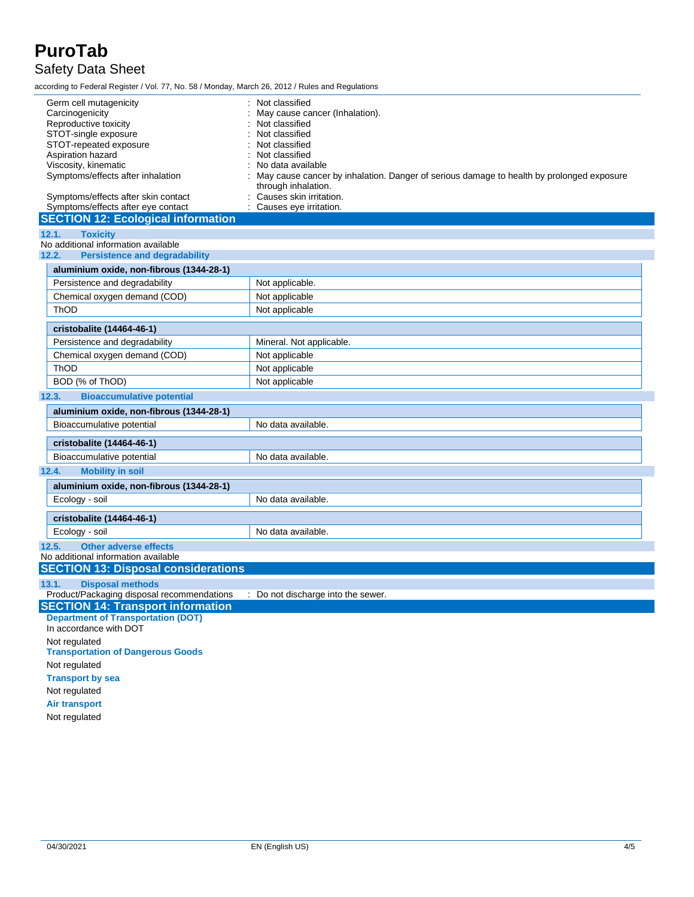### Safety Data Sheet

according to Federal Register / Vol. 77, No. 58 / Monday, March 26, 2012 / Rules and Regulations

| Germ cell mutagenicity                                                        | Not classified                                                                                                |
|-------------------------------------------------------------------------------|---------------------------------------------------------------------------------------------------------------|
| Carcinogenicity                                                               | May cause cancer (Inhalation).                                                                                |
| Reproductive toxicity                                                         | Not classified                                                                                                |
| STOT-single exposure                                                          | Not classified                                                                                                |
| STOT-repeated exposure                                                        | Not classified                                                                                                |
| Aspiration hazard                                                             | Not classified                                                                                                |
| Viscosity, kinematic<br>Symptoms/effects after inhalation                     | No data available<br>May cause cancer by inhalation. Danger of serious damage to health by prolonged exposure |
|                                                                               | through inhalation.                                                                                           |
| Symptoms/effects after skin contact                                           | Causes skin irritation.                                                                                       |
| Symptoms/effects after eye contact                                            | Causes eye irritation.                                                                                        |
| <b>SECTION 12: Ecological information</b>                                     |                                                                                                               |
| 12.1.<br><b>Toxicity</b>                                                      |                                                                                                               |
| No additional information available                                           |                                                                                                               |
| 12.2.<br><b>Persistence and degradability</b>                                 |                                                                                                               |
| aluminium oxide, non-fibrous (1344-28-1)                                      |                                                                                                               |
| Persistence and degradability                                                 | Not applicable.                                                                                               |
| Chemical oxygen demand (COD)                                                  | Not applicable                                                                                                |
| ThOD                                                                          | Not applicable                                                                                                |
|                                                                               |                                                                                                               |
| cristobalite (14464-46-1)                                                     |                                                                                                               |
| Persistence and degradability                                                 | Mineral. Not applicable.                                                                                      |
| Chemical oxygen demand (COD)                                                  | Not applicable                                                                                                |
| ThOD                                                                          | Not applicable                                                                                                |
| BOD (% of ThOD)                                                               | Not applicable                                                                                                |
| <b>Bioaccumulative potential</b><br>12.3.                                     |                                                                                                               |
| aluminium oxide, non-fibrous (1344-28-1)                                      |                                                                                                               |
| Bioaccumulative potential                                                     | No data available.                                                                                            |
|                                                                               |                                                                                                               |
| cristobalite (14464-46-1)                                                     |                                                                                                               |
| Bioaccumulative potential                                                     | No data available.                                                                                            |
| <b>Mobility in soil</b><br>12.4.                                              |                                                                                                               |
| aluminium oxide, non-fibrous (1344-28-1)                                      |                                                                                                               |
| Ecology - soil                                                                | No data available.                                                                                            |
|                                                                               |                                                                                                               |
| cristobalite (14464-46-1)                                                     |                                                                                                               |
| Ecology - soil                                                                | No data available.                                                                                            |
| Other adverse effects<br>12.5.                                                |                                                                                                               |
| No additional information available                                           |                                                                                                               |
| <b>SECTION 13: Disposal considerations</b>                                    |                                                                                                               |
| <b>Disposal methods</b><br>13.1.                                              |                                                                                                               |
| Product/Packaging disposal recommendations : Do not discharge into the sewer. |                                                                                                               |
| <b>SECTION 14: Transport information</b>                                      |                                                                                                               |
| <b>Department of Transportation (DOT)</b><br>In accordance with DOT           |                                                                                                               |
|                                                                               |                                                                                                               |
| Not regulated<br><b>Transportation of Dangerous Goods</b>                     |                                                                                                               |
| Not regulated                                                                 |                                                                                                               |
|                                                                               |                                                                                                               |
| <b>Transport by sea</b>                                                       |                                                                                                               |
| Not regulated                                                                 |                                                                                                               |
| <b>Air transport</b>                                                          |                                                                                                               |
| Not regulated                                                                 |                                                                                                               |
|                                                                               |                                                                                                               |